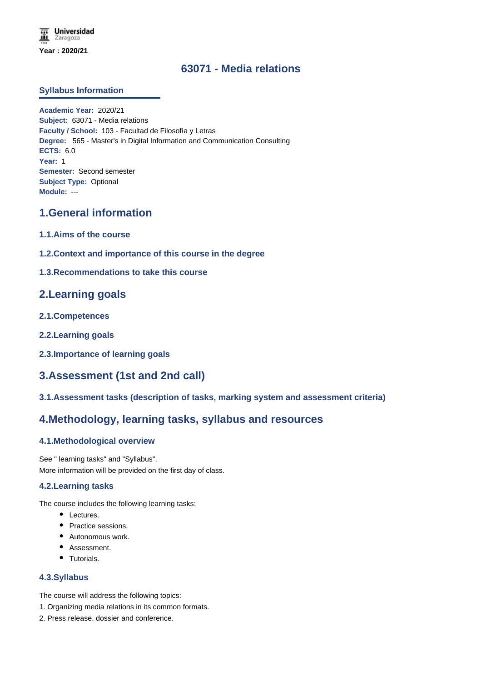### **63071 - Media relations**

### **Syllabus Information**

**Academic Year:** 2020/21 **Subject:** 63071 - Media relations **Faculty / School:** 103 - Facultad de Filosofía y Letras **Degree:** 565 - Master's in Digital Information and Communication Consulting **ECTS:** 6.0 **Year:** 1 **Semester:** Second semester **Subject Type:** Optional **Module:** ---

## **1.General information**

- **1.1.Aims of the course**
- **1.2.Context and importance of this course in the degree**

### **1.3.Recommendations to take this course**

### **2.Learning goals**

- **2.1.Competences**
- **2.2.Learning goals**
- **2.3.Importance of learning goals**

# **3.Assessment (1st and 2nd call)**

**3.1.Assessment tasks (description of tasks, marking system and assessment criteria)**

### **4.Methodology, learning tasks, syllabus and resources**

### **4.1.Methodological overview**

See " learning tasks" and "Syllabus". More information will be provided on the first day of class.

#### **4.2.Learning tasks**

The course includes the following learning tasks:

- Lectures.
- Practice sessions.
- Autonomous work.
- Assessment.
- Tutorials.

#### **4.3.Syllabus**

- The course will address the following topics:
- 1. Organizing media relations in its common formats.
- 2. Press release, dossier and conference.